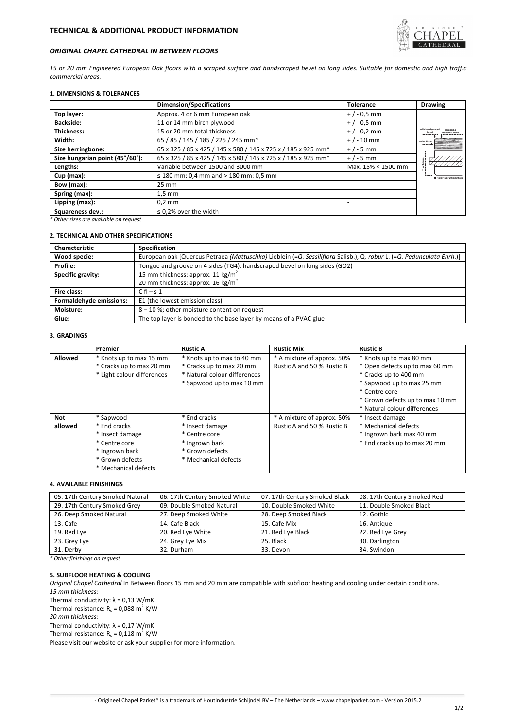

# *ORIGINAL CHAPEL CATHEDRAL IN BETWEEN FLOORS*

15 or 20 mm Engineered European Oak floors with a scraped surface and handscraped bevel on long sides. Suitable for domestic and high traffic *commercial areas.*

## **1. DIMENSIONS & TOLERANCES**

|                                 | <b>Dimension/Specifications</b>                               | <b>Tolerance</b>   | <b>Drawing</b>                |
|---------------------------------|---------------------------------------------------------------|--------------------|-------------------------------|
| Top layer:                      | Approx. 4 or 6 mm European oak                                | $+$ / - 0,5 mm     |                               |
| <b>Backside:</b>                | 11 or 14 mm birch plywood                                     | $+/-0.5$ mm        |                               |
| Thickness:                      | 15 or 20 mm total thickness                                   | $+$ / - 0,2 mm     |                               |
| Width:                          | 65 / 85 / 145 / 185 / 225 / 245 mm*                           | $+$ / - 10 mm      | $±4$ or 6 mm<br>$- - - - - -$ |
| Size herringbone:               | 65 x 325 / 85 x 425 / 145 x 580 / 145 x 725 x / 185 x 925 mm* | $+/-5$ mm          |                               |
| Size hungarian point (45°/60°): | 65 x 325 / 85 x 425 / 145 x 580 / 145 x 725 x / 185 x 925 mm* | $+/-5$ mm          |                               |
| Lengths:                        | Variable between 1500 and 3000 mm                             | Max. 15% < 1500 mm |                               |
| $Cup$ (max):                    | $\leq$ 180 mm: 0,4 mm and > 180 mm: 0,5 mm                    |                    | O total 15 or 20 mm thick     |
| Bow (max):                      | $25 \text{ mm}$                                               |                    |                               |
| Spring (max):                   | $1,5$ mm                                                      |                    |                               |
| Lipping (max):                  | $0.2$ mm                                                      |                    |                               |
| Squareness dev.:                | $\leq$ 0.2% over the width                                    |                    |                               |

*\* Other sizes are available on request*

# **2. TECHNICAL AND OTHER SPECIFICATIONS**

| <b>Characteristic</b>   | Specification                                                                                                        |  |  |
|-------------------------|----------------------------------------------------------------------------------------------------------------------|--|--|
| Wood specie:            | European oak [Quercus Petraea (Mattuschka) Lieblein (=Q. Sessiliflora Salisb.), Q. robur L. (=Q. Pedunculata Ehrh.)] |  |  |
| Profile:                | Tongue and groove on 4 sides (TG4), handscraped bevel on long sides (GO2)                                            |  |  |
| Specific gravity:       | 15 mm thickness: approx. 11 kg/m <sup>2</sup>                                                                        |  |  |
|                         | 20 mm thickness: approx. 16 kg/m <sup>2</sup>                                                                        |  |  |
| Fire class:             | $Cfl - s_1$                                                                                                          |  |  |
| Formaldehyde emissions: | E1 (the lowest emission class)                                                                                       |  |  |
| Moisture:               | 8-10%; other moisture content on request                                                                             |  |  |
| Glue:                   | The top layer is bonded to the base layer by means of a PVAC glue                                                    |  |  |

## **3. GRADINGS**

|                | Premier                    | <b>Rustic A</b>              | <b>Rustic Mix</b>          | <b>Rustic B</b>                 |
|----------------|----------------------------|------------------------------|----------------------------|---------------------------------|
| <b>Allowed</b> | * Knots up to max 15 mm    | * Knots up to max to 40 mm   | * A mixture of approx. 50% | * Knots up to max 80 mm         |
|                | * Cracks up to max 20 mm   | * Cracks up to max 20 mm     | Rustic A and 50 % Rustic B | * Open defects up to max 60 mm  |
|                | * Light colour differences | * Natural colour differences |                            | * Cracks up to 400 mm           |
|                |                            | * Sapwood up to max 10 mm    |                            | * Sapwood up to max 25 mm       |
|                |                            |                              |                            | * Centre core                   |
|                |                            |                              |                            | * Grown defects up to max 10 mm |
|                |                            |                              |                            | * Natural colour differences    |
| <b>Not</b>     | * Sapwood                  | * End cracks                 | * A mixture of approx. 50% | * Insect damage                 |
| allowed        | * End cracks               | * Insect damage              | Rustic A and 50 % Rustic B | * Mechanical defects            |
|                | * Insect damage            | * Centre core                |                            | * Ingrown bark max 40 mm        |
|                | * Centre core              | * Ingrown bark               |                            | * End cracks up to max 20 mm    |
|                | * Ingrown bark             | * Grown defects              |                            |                                 |
|                | * Grown defects            | * Mechanical defects         |                            |                                 |
|                | * Mechanical defects       |                              |                            |                                 |

# **4. AVAILABLE FINISHINGS**

| 05. 17th Century Smoked Natural | 06. 17th Century Smoked White | 07. 17th Century Smoked Black | 08. 17th Century Smoked Red |
|---------------------------------|-------------------------------|-------------------------------|-----------------------------|
| 29. 17th Century Smoked Grey    | 09. Double Smoked Natural     | 10. Double Smoked White       | 11. Double Smoked Black     |
| 26. Deep Smoked Natural         | 27. Deep Smoked White         | 28. Deep Smoked Black         | 12. Gothic                  |
| 13. Cafe                        | 14. Cafe Black                | 15. Cafe Mix                  | 16. Antique                 |
| 19. Red Lye                     | 20. Red Lye White             | 21. Red Lye Black             | 22. Red Lye Grey            |
| 23. Grey Lye                    | 24. Grey Lye Mix              | 25. Black                     | 30. Darlington              |
| 31. Derby                       | 32. Durham                    | 33. Devon                     | 34. Swindon                 |

# *\* Other finishings on request*

# **5. SUBFLOOR HEATING & COOLING**

*Original Chapel Cathedral* In Between floors 15 mm and 20 mm are compatible with subfloor heating and cooling under certain conditions. *15 mm thickness:*

Thermal conductivity:  $\lambda = 0.13$  W/mK

Thermal resistance:  $R_c = 0.088$  m<sup>2</sup> K/W

*20 mm thickness:*

Thermal conductivity:  $\lambda = 0.17 W/mK$ 

Thermal resistance:  $R_c = 0.118 \text{ m}^2 \text{ K/W}$ 

Please visit our website or ask your supplier for more information.